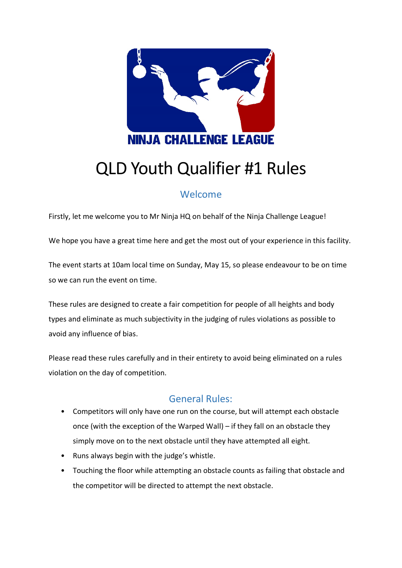

# QLD Youth Qualifier #1 Rules

# Welcome

Firstly, let me welcome you to Mr Ninja HQ on behalf of the Ninja Challenge League!

We hope you have a great time here and get the most out of your experience in this facility.

The event starts at 10am local time on Sunday, May 15, so please endeavour to be on time so we can run the event on time.

These rules are designed to create a fair competition for people of all heights and body types and eliminate as much subjectivity in the judging of rules violations as possible to avoid any influence of bias.

Please read these rules carefully and in their entirety to avoid being eliminated on a rules violation on the day of competition.

# General Rules:

- Competitors will only have one run on the course, but will attempt each obstacle once (with the exception of the Warped Wall) – if they fall on an obstacle they simply move on to the next obstacle until they have attempted all eight.
- Runs always begin with the judge's whistle.
- Touching the floor while attempting an obstacle counts as failing that obstacle and the competitor will be directed to attempt the next obstacle.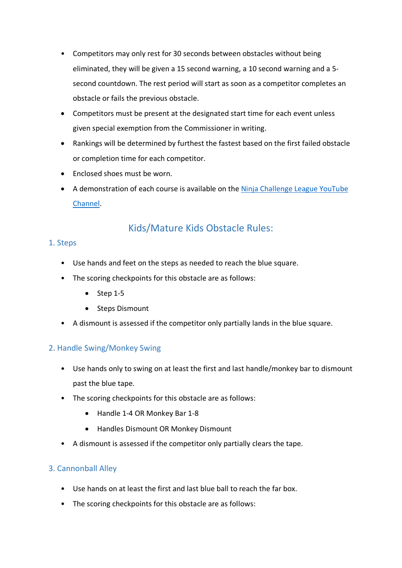- Competitors may only rest for 30 seconds between obstacles without being eliminated, they will be given a 15 second warning, a 10 second warning and a 5 second countdown. The rest period will start as soon as a competitor completes an obstacle or fails the previous obstacle.
- Competitors must be present at the designated start time for each event unless given special exemption from the Commissioner in writing.
- Rankings will be determined by furthest the fastest based on the first failed obstacle or completion time for each competitor.
- Enclosed shoes must be worn.
- A demonstration of each course is available on the [Ninja Challenge League YouTube](https://www.youtube.com/c/NinjaChallengeLeague/)  [Channel.](https://www.youtube.com/c/NinjaChallengeLeague/)

# Kids/Mature Kids Obstacle Rules:

## 1. Steps

- Use hands and feet on the steps as needed to reach the blue square.
- The scoring checkpoints for this obstacle are as follows:
	- Step 1-5
	- Steps Dismount
- A dismount is assessed if the competitor only partially lands in the blue square.

## 2. Handle Swing/Monkey Swing

- Use hands only to swing on at least the first and last handle/monkey bar to dismount past the blue tape.
- The scoring checkpoints for this obstacle are as follows:
	- Handle 1-4 OR Monkey Bar 1-8
	- Handles Dismount OR Monkey Dismount
- A dismount is assessed if the competitor only partially clears the tape.

## 3. Cannonball Alley

- Use hands on at least the first and last blue ball to reach the far box.
- The scoring checkpoints for this obstacle are as follows: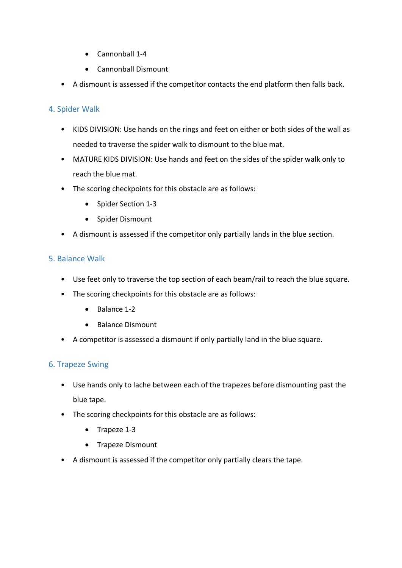- Cannonball 1-4
- Cannonball Dismount
- A dismount is assessed if the competitor contacts the end platform then falls back.

#### 4. Spider Walk

- KIDS DIVISION: Use hands on the rings and feet on either or both sides of the wall as needed to traverse the spider walk to dismount to the blue mat.
- MATURE KIDS DIVISION: Use hands and feet on the sides of the spider walk only to reach the blue mat.
- The scoring checkpoints for this obstacle are as follows:
	- Spider Section 1-3
	- Spider Dismount
- A dismount is assessed if the competitor only partially lands in the blue section.

#### 5. Balance Walk

- Use feet only to traverse the top section of each beam/rail to reach the blue square.
- The scoring checkpoints for this obstacle are as follows:
	- Balance 1-2
	- Balance Dismount
- A competitor is assessed a dismount if only partially land in the blue square.

#### 6. Trapeze Swing

- Use hands only to lache between each of the trapezes before dismounting past the blue tape.
- The scoring checkpoints for this obstacle are as follows:
	- Trapeze 1-3
	- Trapeze Dismount
- A dismount is assessed if the competitor only partially clears the tape.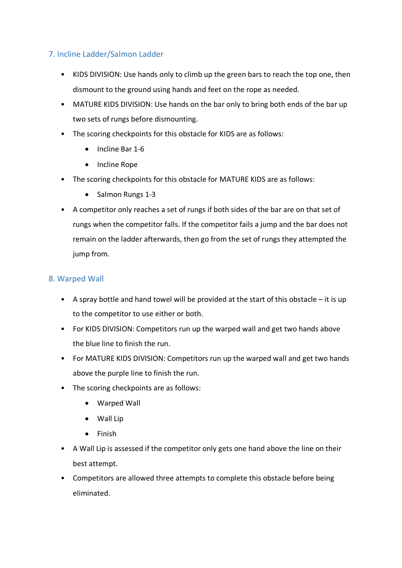## 7. Incline Ladder/Salmon Ladder

- KIDS DIVISION: Use hands only to climb up the green bars to reach the top one, then dismount to the ground using hands and feet on the rope as needed.
- MATURE KIDS DIVISION: Use hands on the bar only to bring both ends of the bar up two sets of rungs before dismounting.
- The scoring checkpoints for this obstacle for KIDS are as follows:
	- Incline Bar 1-6
	- Incline Rope
- The scoring checkpoints for this obstacle for MATURE KIDS are as follows:
	- Salmon Rungs 1-3
- A competitor only reaches a set of rungs if both sides of the bar are on that set of rungs when the competitor falls. If the competitor fails a jump and the bar does not remain on the ladder afterwards, then go from the set of rungs they attempted the jump from.

#### 8. Warped Wall

- A spray bottle and hand towel will be provided at the start of this obstacle it is up to the competitor to use either or both.
- For KIDS DIVISION: Competitors run up the warped wall and get two hands above the blue line to finish the run.
- For MATURE KIDS DIVISION: Competitors run up the warped wall and get two hands above the purple line to finish the run.
- The scoring checkpoints are as follows:
	- Warped Wall
	- Wall Lip
	- Finish
- A Wall Lip is assessed if the competitor only gets one hand above the line on their best attempt.
- Competitors are allowed three attempts to complete this obstacle before being eliminated.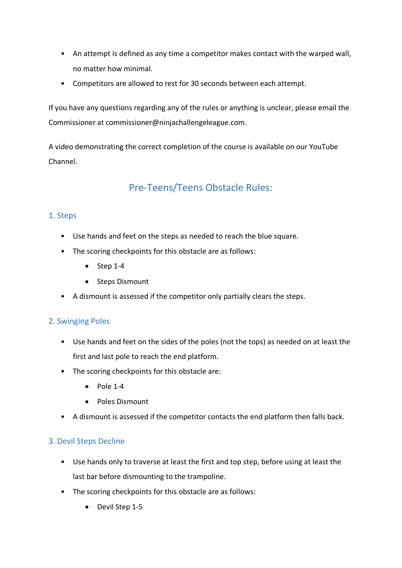- An attempt is defined as any time a competitor makes contact with the warped wall, no matter how minimal.
- Competitors are allowed to rest for 30 seconds between each attempt.

If you have any questions regarding any of the rules or anything is unclear, please email the Commissioner at commissioner@ninjachallengeleague.com.

A video demonstrating the correct completion of the course is available on our YouTube Channel.

# Pre-Teens/Teens Obstacle Rules:

#### 1. Steps

- Use hands and feet on the steps as needed to reach the blue square.
- The scoring checkpoints for this obstacle are as follows:
	- Step 1-4
	- Steps Dismount
- A dismount is assessed if the competitor only partially clears the steps.

#### 2. Swinging Poles

- Use hands and feet on the sides of the poles (not the tops) as needed on at least the first and last pole to reach the end platform.
- The scoring checkpoints for this obstacle are:
	- $\bullet$  Pole 1-4
	- Poles Dismount
- A dismount is assessed if the competitor contacts the end platform then falls back.

#### 3. Devil Steps Decline

- Use hands only to traverse at least the first and top step, before using at least the last bar before dismounting to the trampoline.
- The scoring checkpoints for this obstacle are as follows:
	- Devil Step 1-5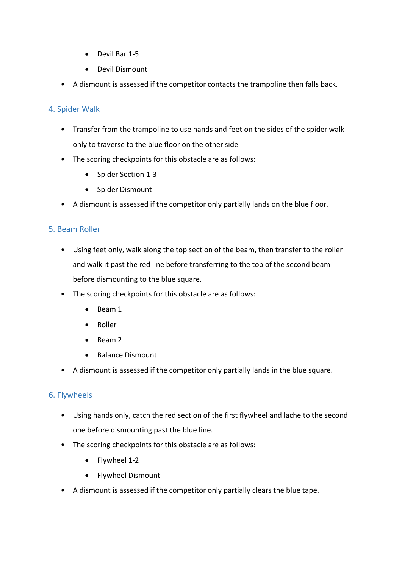- Devil Bar 1-5
- Devil Dismount
- A dismount is assessed if the competitor contacts the trampoline then falls back.

#### 4. Spider Walk

- Transfer from the trampoline to use hands and feet on the sides of the spider walk only to traverse to the blue floor on the other side
- The scoring checkpoints for this obstacle are as follows:
	- Spider Section 1-3
	- Spider Dismount
- A dismount is assessed if the competitor only partially lands on the blue floor.

#### 5. Beam Roller

- Using feet only, walk along the top section of the beam, then transfer to the roller and walk it past the red line before transferring to the top of the second beam before dismounting to the blue square.
- The scoring checkpoints for this obstacle are as follows:
	- Beam 1
	- Roller
	- Beam 2
	- Balance Dismount
- A dismount is assessed if the competitor only partially lands in the blue square.

#### 6. Flywheels

- Using hands only, catch the red section of the first flywheel and lache to the second one before dismounting past the blue line.
- The scoring checkpoints for this obstacle are as follows:
	- Flywheel 1-2
	- Flywheel Dismount
- A dismount is assessed if the competitor only partially clears the blue tape.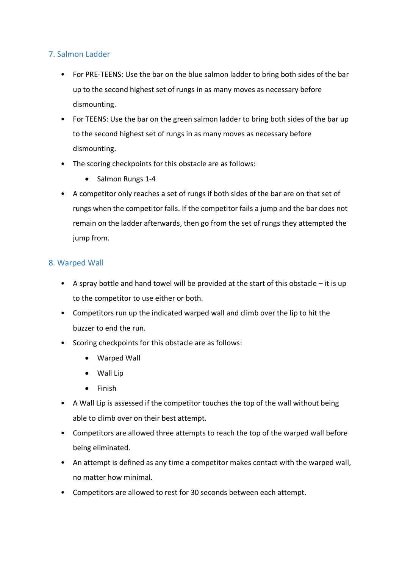## 7. Salmon Ladder

- For PRE-TEENS: Use the bar on the blue salmon ladder to bring both sides of the bar up to the second highest set of rungs in as many moves as necessary before dismounting.
- For TEENS: Use the bar on the green salmon ladder to bring both sides of the bar up to the second highest set of rungs in as many moves as necessary before dismounting.
- The scoring checkpoints for this obstacle are as follows:
	- Salmon Rungs 1-4
- A competitor only reaches a set of rungs if both sides of the bar are on that set of rungs when the competitor falls. If the competitor fails a jump and the bar does not remain on the ladder afterwards, then go from the set of rungs they attempted the jump from.

#### 8. Warped Wall

- A spray bottle and hand towel will be provided at the start of this obstacle it is up to the competitor to use either or both.
- Competitors run up the indicated warped wall and climb over the lip to hit the buzzer to end the run.
- Scoring checkpoints for this obstacle are as follows:
	- Warped Wall
	- Wall Lip
	- Finish
- A Wall Lip is assessed if the competitor touches the top of the wall without being able to climb over on their best attempt.
- Competitors are allowed three attempts to reach the top of the warped wall before being eliminated.
- An attempt is defined as any time a competitor makes contact with the warped wall, no matter how minimal.
- Competitors are allowed to rest for 30 seconds between each attempt.